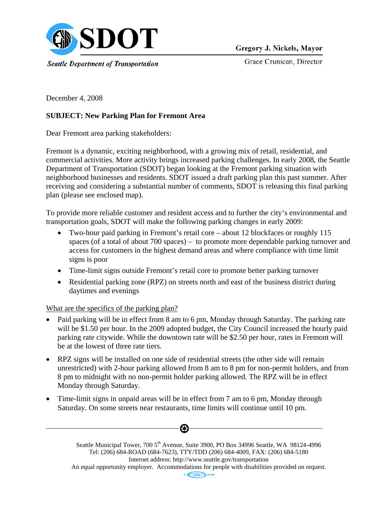

Gregory J. Nickels, Mayor

Grace Crunican, Director

December 4, 2008

# **SUBJECT: New Parking Plan for Fremont Area**

Dear Fremont area parking stakeholders:

Fremont is a dynamic, exciting neighborhood, with a growing mix of retail, residential, and commercial activities. More activity brings increased parking challenges. In early 2008, the Seattle Department of Transportation (SDOT) began looking at the Fremont parking situation with neighborhood businesses and residents. SDOT issued a draft parking plan this past summer. After receiving and considering a substantial number of comments, SDOT is releasing this final parking plan (please see enclosed map).

To provide more reliable customer and resident access and to further the city's environmental and transportation goals, SDOT will make the following parking changes in early 2009:

- Two-hour paid parking in Fremont's retail core about 12 blockfaces or roughly 115 spaces (of a total of about 700 spaces) – to promote more dependable parking turnover and access for customers in the highest demand areas and where compliance with time limit signs is poor
- Time-limit signs outside Fremont's retail core to promote better parking turnover
- Residential parking zone (RPZ) on streets north and east of the business district during daytimes and evenings

What are the specifics of the parking plan?

- Paid parking will be in effect from 8 am to 6 pm, Monday through Saturday. The parking rate will be \$1.50 per hour. In the 2009 adopted budget, the City Council increased the hourly paid parking rate citywide. While the downtown rate will be \$2.50 per hour, rates in Fremont will be at the lowest of three rate tiers.
- RPZ signs will be installed on one side of residential streets (the other side will remain unrestricted) with 2-hour parking allowed from 8 am to 8 pm for non-permit holders, and from 8 pm to midnight with no non-permit holder parking allowed. The RPZ will be in effect Monday through Saturday.
- Time-limit signs in unpaid areas will be in effect from 7 am to 6 pm, Monday through Saturday. On some streets near restaurants, time limits will continue until 10 pm.